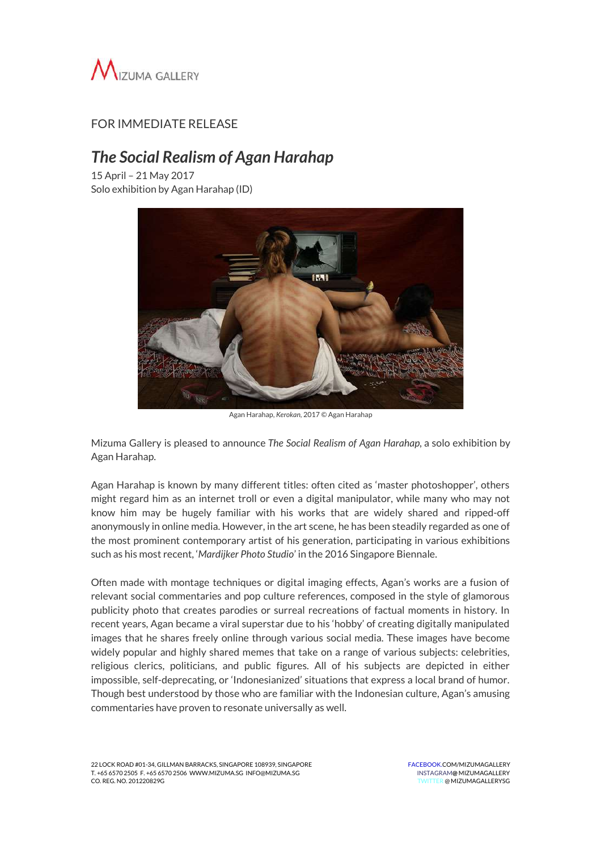

# FOR IMMEDIATE RELEASE

# *The Social Realism of Agan Harahap*

15 April – 21 May 2017 Solo exhibition by Agan Harahap (ID)



Agan Harahap, *Kerokan,* 2017 © Agan Harahap

Mizuma Gallery is pleased to announce *The Social Realism of Agan Harahap,* a solo exhibition by Agan Harahap.

Agan Harahap is known by many different titles: often cited as 'master photoshopper', others might regard him as an internet troll or even a digital manipulator, while many who may not know him may be hugely familiar with his works that are widely shared and ripped-off anonymously in online media. However, in the art scene, he has been steadily regarded as one of the most prominent contemporary artist of his generation, participating in various exhibitions such as his most recent, '*Mardijker Photo Studio*' in the 2016 Singapore Biennale.

Often made with montage techniques or digital imaging effects, Agan's works are a fusion of relevant social commentaries and pop culture references, composed in the style of glamorous publicity photo that creates parodies or surreal recreations of factual moments in history. In recent years, Agan became a viral superstar due to his 'hobby' of creating digitally manipulated images that he shares freely online through various social media. These images have become widely popular and highly shared memes that take on a range of various subjects: celebrities, religious clerics, politicians, and public figures. All of his subjects are depicted in either impossible, self-deprecating, or 'Indonesianized' situations that express a local brand of humor. Though best understood by those who are familiar with the Indonesian culture, Agan's amusing commentaries have proven to resonate universally as well.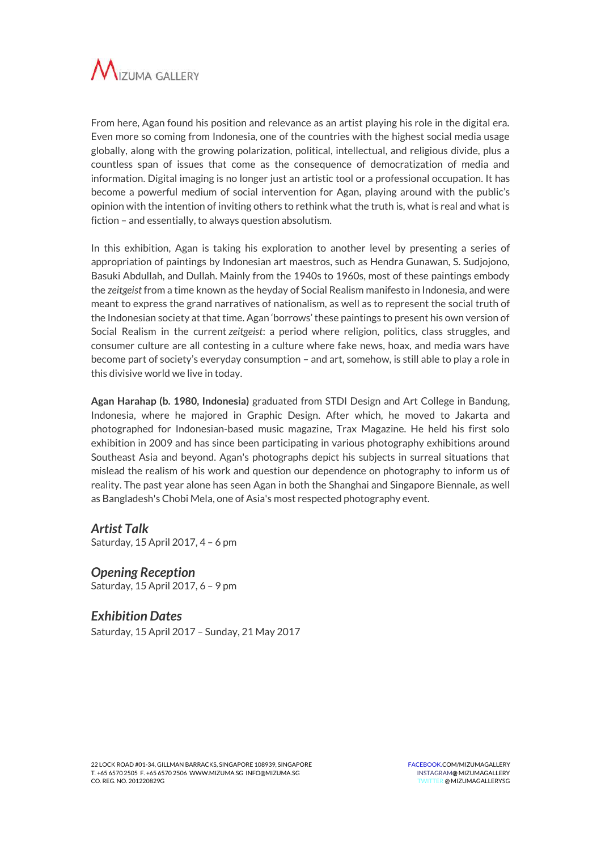

From here, Agan found his position and relevance as an artist playing his role in the digital era. Even more so coming from Indonesia, one of the countries with the highest social media usage globally, along with the growing polarization, political, intellectual, and religious divide, plus a countless span of issues that come as the consequence of democratization of media and information. Digital imaging is no longer just an artistic tool or a professional occupation. It has become a powerful medium of social intervention for Agan, playing around with the public's opinion with the intention of inviting others to rethink what the truth is, what is real and what is fiction – and essentially, to always question absolutism.

In this exhibition, Agan is taking his exploration to another level by presenting a series of appropriation of paintings by Indonesian art maestros, such as Hendra Gunawan, S. Sudjojono, Basuki Abdullah, and Dullah. Mainly from the 1940s to 1960s, most of these paintings embody the *zeitgeist* from a time known as the heyday of Social Realism manifesto in Indonesia, and were meant to express the grand narratives of nationalism, as well as to represent the social truth of the Indonesian society at that time. Agan 'borrows' these paintings to present his own version of Social Realism in the current *zeitgeist*: a period where religion, politics, class struggles, and consumer culture are all contesting in a culture where fake news, hoax, and media wars have become part of society's everyday consumption – and art, somehow, is still able to play a role in this divisive world we live in today.

**Agan Harahap (b. 1980, Indonesia)** graduated from STDI Design and Art College in Bandung, Indonesia, where he majored in Graphic Design. After which, he moved to Jakarta and photographed for Indonesian-based music magazine, Trax Magazine. He held his first solo exhibition in 2009 and has since been participating in various photography exhibitions around Southeast Asia and beyond. Agan's photographs depict his subjects in surreal situations that mislead the realism of his work and question our dependence on photography to inform us of reality. The past year alone has seen Agan in both the Shanghai and Singapore Biennale, as well as Bangladesh's Chobi Mela, one of Asia's most respected photography event.

*Artist Talk* Saturday, 15 April 2017, 4 – 6 pm

*Opening Reception* Saturday, 15 April 2017, 6 – 9 pm

*Exhibition Dates* Saturday, 15 April 2017 – Sunday, 21 May 2017

22 LOCK ROAD #01-34, GILLMAN BARRACKS, SINGAPORE 108939, SINGAPORE FACEBOOK.COM/MIZUMAGALLERY T. +65 6570 2505 F. +65 6570 2506 WWW.MIZUMA.SG INFO@MIZUMA.SG INSTAGRAM**@** MIZUMAGALLERY CO. REG. NO. 201220829G TWITTER @ MIZUMAGALLERYSG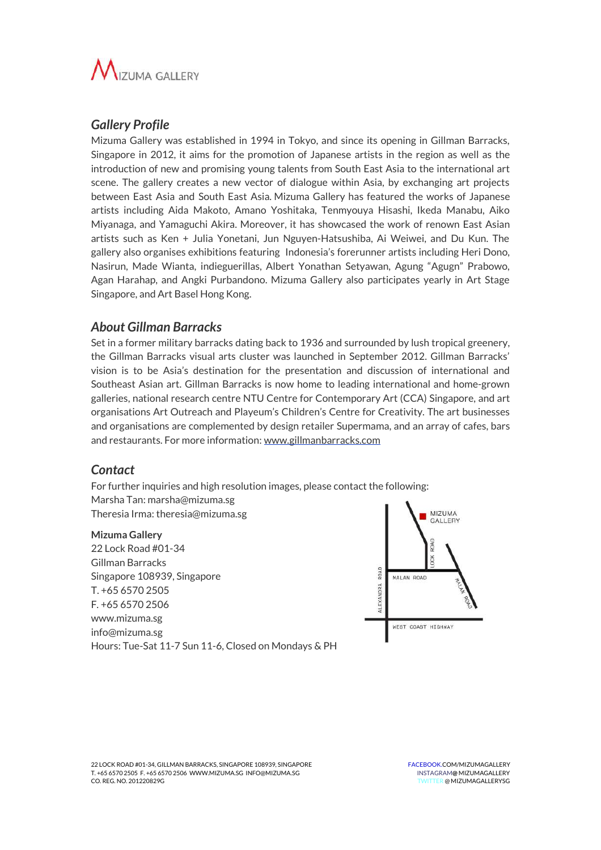

# *Gallery Profile*

Mizuma Gallery was established in 1994 in Tokyo, and since its opening in Gillman Barracks, Singapore in 2012, it aims for the promotion of Japanese artists in the region as well as the introduction of new and promising young talents from South East Asia to the international art scene. The gallery creates a new vector of dialogue within Asia, by exchanging art projects between East Asia and South East Asia. Mizuma Gallery has featured the works of Japanese artists including Aida Makoto, Amano Yoshitaka, Tenmyouya Hisashi, Ikeda Manabu, Aiko Miyanaga, and Yamaguchi Akira. Moreover, it has showcased the work of renown East Asian artists such as Ken + Julia Yonetani, Jun Nguyen-Hatsushiba, Ai Weiwei, and Du Kun. The gallery also organises exhibitions featuring Indonesia's forerunner artists including Heri Dono, Nasirun, Made Wianta, indieguerillas, Albert Yonathan Setyawan, Agung "Agugn" Prabowo, Agan Harahap, and Angki Purbandono. Mizuma Gallery also participates yearly in Art Stage Singapore, and Art Basel Hong Kong.

## *About Gillman Barracks*

Set in a former military barracks dating back to 1936 and surrounded by lush tropical greenery, the Gillman Barracks visual arts cluster was launched in September 2012. Gillman Barracks' vision is to be Asia's destination for the presentation and discussion of international and Southeast Asian art. Gillman Barracks is now home to leading international and home-grown galleries, national research centre NTU Centre for Contemporary Art (CCA) Singapore, and art organisations Art Outreach and Playeum's Children's Centre for Creativity. The art businesses and organisations are complemented by design retailer Supermama, and an array of cafes, bars and restaurants. For more information: [www.gillmanbarracks.com](http://www.gillmanbarracks.com/)

## *Contact*

For further inquiries and high resolution images, please contact the following: Marsha Tan: marsha@mizuma.sg Theresia Irma: theresia@mizuma.sg

#### **Mizuma Gallery**

22 Lock Road #01-34 Gillman Barracks Singapore 108939, Singapore T. +65 6570 2505  $F + 6565702506$ www.mizuma.sg info@mizuma.sg Hours: Tue-Sat 11-7 Sun 11-6, Closed on Mondays & PH

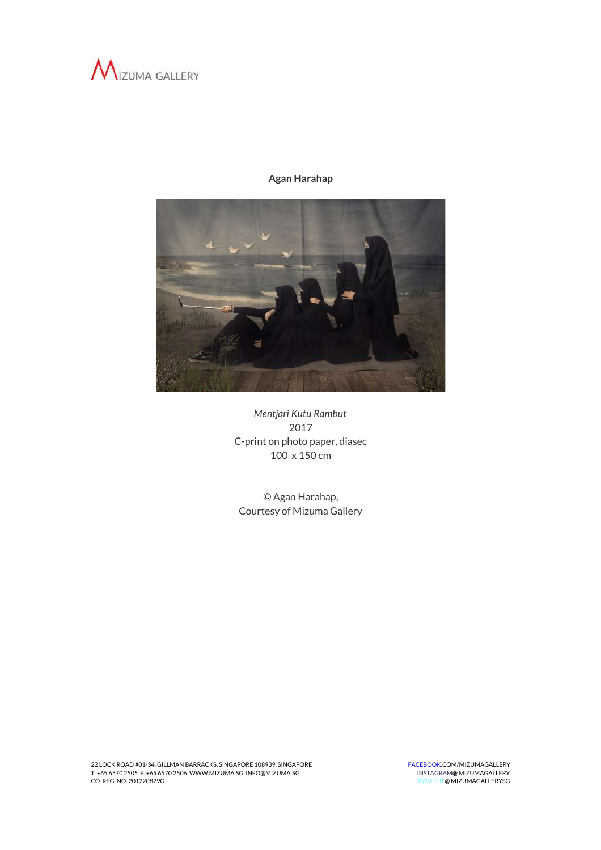



## **Agan Harahap**

*Mentjari Kutu Rambut* 2017 C-print on photo paper, diasec 100 x 150 cm

© Agan Harahap, Courtesy of Mizuma Gallery

22 LOCK ROAD #01-34, GILLMAN BARRACKS, SINGAPORE 108939, SINGAPORE 108939, SINGAPORE FACEBOOK.COM/MIZUMAGALLERY<br>T. +65 6570 2505 F. +65 6570 2506 WWW.MIZUMA.SG INFO@MIZUMA.SG T. +65 6570 2505 F. +65 6570 2506 WWW.MIZUMA.SG INFO@MIZUMA.SG<br>CO. REG. NO. 201220829G

TWITTER @ MIZUMAGALLERYSG